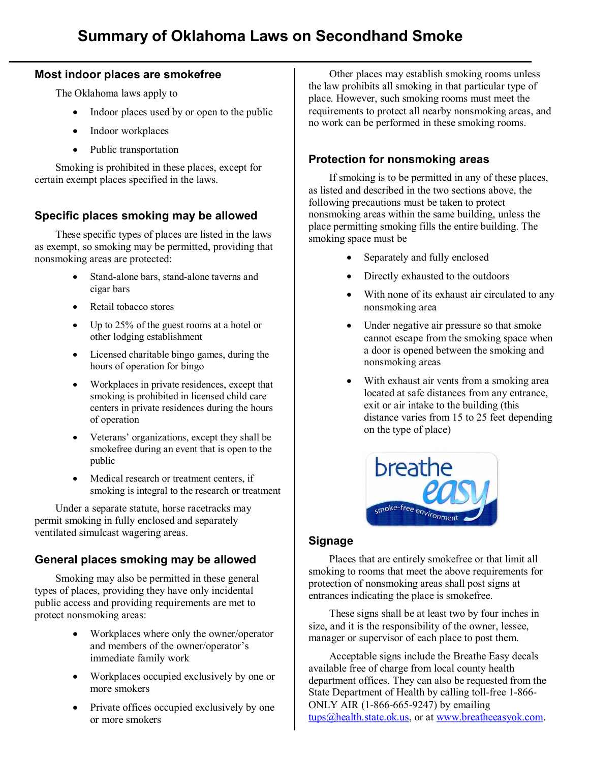### **Most indoor places are smokefree**

The Oklahoma laws apply to

- Indoor places used by or open to the public
- Indoor workplaces
- Public transportation

Smoking is prohibited in these places, except for certain exempt places specified in the laws.

## **Specific places smoking may be allowed**

These specific types of places are listed in the laws as exempt, so smoking may be permitted, providing that nonsmoking areas are protected:

- Stand-alone bars, stand-alone taverns and cigar bars
- Retail tobacco stores
- Up to 25% of the guest rooms at a hotel or other lodging establishment
- · Licensed charitable bingo games, during the hours of operation for bingo
- · Workplaces in private residences, except that smoking is prohibited in licensed child care centers in private residences during the hours of operation
- · Veterans' organizations, except they shall be smokefree during an event that is open to the public
- · Medical research or treatment centers, if smoking is integral to the research or treatment

Under a separate statute, horse racetracks may permit smoking in fully enclosed and separately ventilated simulcast wagering areas.

## **General places smoking may be allowed**

Smoking may also be permitted in these general types of places, providing they have only incidental public access and providing requirements are met to protect nonsmoking areas:

- · Workplaces where only the owner/operator and members of the owner/operator's immediate family work
- Workplaces occupied exclusively by one or more smokers
- Private offices occupied exclusively by one or more smokers

Other places may establish smoking rooms unless the law prohibits all smoking in that particular type of place. However, such smoking rooms must meet the requirements to protect all nearby nonsmoking areas, and no work can be performed in these smoking rooms.

## **Protection for nonsmoking areas**

If smoking is to be permitted in any of these places, as listed and described in the two sections above, the following precautions must be taken to protect nonsmoking areas within the same building, unless the place permitting smoking fills the entire building. The smoking space must be

- Separately and fully enclosed
- Directly exhausted to the outdoors
- With none of its exhaust air circulated to any nonsmoking area
- · Under negative air pressure so that smoke cannot escape from the smoking space when a door is opened between the smoking and nonsmoking areas
- · With exhaust air vents from a smoking area located at safe distances from any entrance, exit or air intake to the building (this distance varies from 15 to 25 feet depending on the type of place)



### **Signage**

Places that are entirely smokefree or that limit all smoking to rooms that meet the above requirements for protection of nonsmoking areas shall post signs at entrances indicating the place is smokefree.

These signs shall be at least two by four inches in size, and it is the responsibility of the owner, lessee, manager or supervisor of each place to post them.

Acceptable signs include the Breathe Easy decals available free of charge from local county health department offices. They can also be requested from the State Department of Health by calling toll-free 1-866-ONLY AIR  $(1-866-665-9247)$  by emailing [tups@health.state.ok.us,](mailto:tups@health.state.ok.us) or at www.breatheeasyok.com.